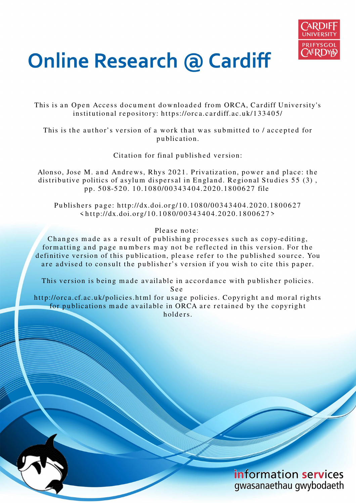

# **Online Research @ Cardiff**

This is an Open Access document downloaded from ORCA, Cardiff University's institutional repository: https://orca.cardiff.ac.uk/133405/

This is the author's version of a work that was submitted to / accepted for p u blication.

Citation for final published version:

Alonso, Jose M. and Andrews, Rhys 2021. Privatization, power and place: the distributive politics of asylum dispersal in England. Regional Studies 55 (3), p p. 5 0 8-5 2 0. 1 0.10 8 0/00 3 4 3 4 0 4.2 0 2 0.18 0 0 6 2 7 file

Publishers page: http://dx.doi.org/10.1080/00343404.2020.1800627  $\langle$ http://dx.doi.org/10.1080/00343404.2020.1800627>

Please note:

Changes made as a result of publishing processes such as copy-editing, formatting and page numbers may not be reflected in this version. For the definitive version of this publication, please refer to the published source. You are advised to consult the publisher's version if you wish to cite this paper.

This version is being made available in accordance with publisher policies.

S e e

http://orca.cf.ac.uk/policies.html for usage policies. Copyright and moral rights for publications made available in ORCA are retained by the copyright holders.

> information services gwasanaethau gwybodaeth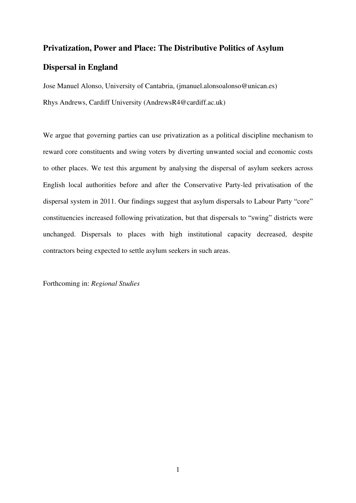## **Privatization, Power and Place: The Distributive Politics of Asylum Dispersal in England**

Jose Manuel Alonso, University of Cantabria, (jmanuel.alonsoalonso@unican.es) Rhys Andrews, Cardiff University (AndrewsR4@cardiff.ac.uk)

We argue that governing parties can use privatization as a political discipline mechanism to reward core constituents and swing voters by diverting unwanted social and economic costs to other places. We test this argument by analysing the dispersal of asylum seekers across English local authorities before and after the Conservative Party-led privatisation of the dispersal system in 2011. Our findings suggest that asylum dispersals to Labour Party "core" constituencies increased following privatization, but that dispersals to "swing" districts were unchanged. Dispersals to places with high institutional capacity decreased, despite contractors being expected to settle asylum seekers in such areas.

Forthcoming in: *Regional Studies*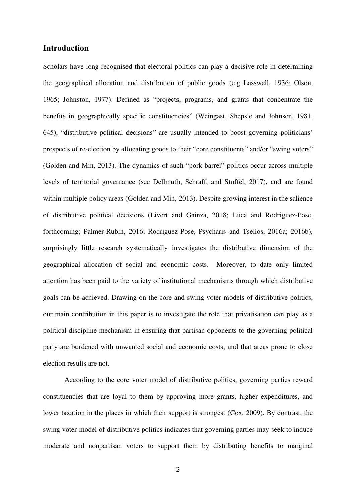#### **Introduction**

Scholars have long recognised that electoral politics can play a decisive role in determining the geographical allocation and distribution of public goods (e.g Lasswell, 1936; Olson, 1965; Johnston, 1977). Defined as "projects, programs, and grants that concentrate the benefits in geographically specific constituencies" (Weingast, Shepsle and Johnsen, 1981, 645), "distributive political decisions" are usually intended to boost governing politicians' prospects of re-election by allocating goods to their "core constituents" and/or "swing voters" (Golden and Min, 2013). The dynamics of such "pork-barrel" politics occur across multiple levels of territorial governance (see Dellmuth, Schraff, and Stoffel, 2017), and are found within multiple policy areas (Golden and Min, 2013). Despite growing interest in the salience of distributive political decisions (Livert and Gainza, 2018; Luca and Rodriguez-Pose, forthcoming; Palmer-Rubin, 2016; Rodriguez-Pose, Psycharis and Tselios, 2016a; 2016b), surprisingly little research systematically investigates the distributive dimension of the geographical allocation of social and economic costs. Moreover, to date only limited attention has been paid to the variety of institutional mechanisms through which distributive goals can be achieved. Drawing on the core and swing voter models of distributive politics, our main contribution in this paper is to investigate the role that privatisation can play as a political discipline mechanism in ensuring that partisan opponents to the governing political party are burdened with unwanted social and economic costs, and that areas prone to close election results are not.

According to the core voter model of distributive politics, governing parties reward constituencies that are loyal to them by approving more grants, higher expenditures, and lower taxation in the places in which their support is strongest (Cox, 2009). By contrast, the swing voter model of distributive politics indicates that governing parties may seek to induce moderate and nonpartisan voters to support them by distributing benefits to marginal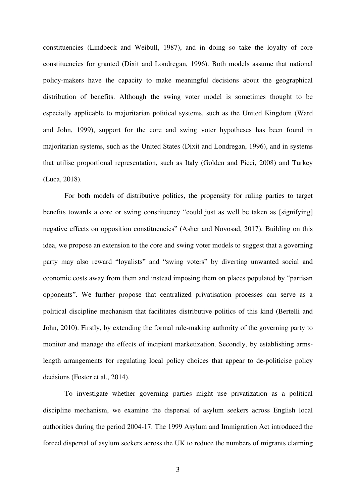constituencies (Lindbeck and Weibull, 1987), and in doing so take the loyalty of core constituencies for granted (Dixit and Londregan, 1996). Both models assume that national policy-makers have the capacity to make meaningful decisions about the geographical distribution of benefits. Although the swing voter model is sometimes thought to be especially applicable to majoritarian political systems, such as the United Kingdom (Ward and John, 1999), support for the core and swing voter hypotheses has been found in majoritarian systems, such as the United States (Dixit and Londregan, 1996), and in systems that utilise proportional representation, such as Italy (Golden and Picci, 2008) and Turkey (Luca, 2018).

For both models of distributive politics, the propensity for ruling parties to target benefits towards a core or swing constituency "could just as well be taken as [signifying] negative effects on opposition constituencies" (Asher and Novosad, 2017). Building on this idea, we propose an extension to the core and swing voter models to suggest that a governing party may also reward "loyalists" and "swing voters" by diverting unwanted social and economic costs away from them and instead imposing them on places populated by "partisan opponents". We further propose that centralized privatisation processes can serve as a political discipline mechanism that facilitates distributive politics of this kind (Bertelli and John, 2010). Firstly, by extending the formal rule-making authority of the governing party to monitor and manage the effects of incipient marketization. Secondly, by establishing armslength arrangements for regulating local policy choices that appear to de-politicise policy decisions (Foster et al., 2014).

To investigate whether governing parties might use privatization as a political discipline mechanism, we examine the dispersal of asylum seekers across English local authorities during the period 2004-17. The 1999 Asylum and Immigration Act introduced the forced dispersal of asylum seekers across the UK to reduce the numbers of migrants claiming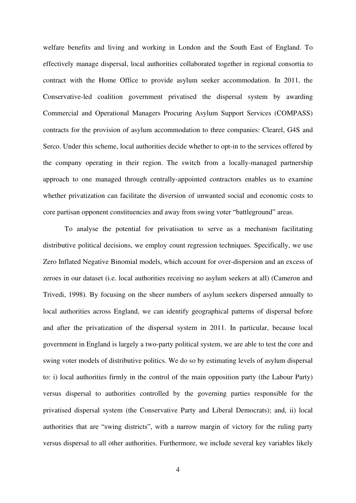welfare benefits and living and working in London and the South East of England. To effectively manage dispersal, local authorities collaborated together in regional consortia to contract with the Home Office to provide asylum seeker accommodation. In 2011, the Conservative-led coalition government privatised the dispersal system by awarding Commercial and Operational Managers Procuring Asylum Support Services (COMPASS) contracts for the provision of asylum accommodation to three companies: Clearel, G4S and Serco. Under this scheme, local authorities decide whether to opt-in to the services offered by the company operating in their region. The switch from a locally-managed partnership approach to one managed through centrally-appointed contractors enables us to examine whether privatization can facilitate the diversion of unwanted social and economic costs to core partisan opponent constituencies and away from swing voter "battleground" areas.

To analyse the potential for privatisation to serve as a mechanism facilitating distributive political decisions, we employ count regression techniques. Specifically, we use Zero Inflated Negative Binomial models, which account for over-dispersion and an excess of zeroes in our dataset (i.e. local authorities receiving no asylum seekers at all) (Cameron and Trivedi, 1998). By focusing on the sheer numbers of asylum seekers dispersed annually to local authorities across England, we can identify geographical patterns of dispersal before and after the privatization of the dispersal system in 2011. In particular, because local government in England is largely a two-party political system, we are able to test the core and swing voter models of distributive politics. We do so by estimating levels of asylum dispersal to: i) local authorities firmly in the control of the main opposition party (the Labour Party) versus dispersal to authorities controlled by the governing parties responsible for the privatised dispersal system (the Conservative Party and Liberal Democrats); and, ii) local authorities that are "swing districts", with a narrow margin of victory for the ruling party versus dispersal to all other authorities. Furthermore, we include several key variables likely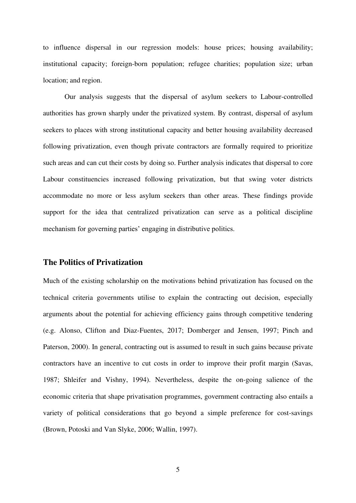to influence dispersal in our regression models: house prices; housing availability; institutional capacity; foreign-born population; refugee charities; population size; urban location; and region.

Our analysis suggests that the dispersal of asylum seekers to Labour-controlled authorities has grown sharply under the privatized system. By contrast, dispersal of asylum seekers to places with strong institutional capacity and better housing availability decreased following privatization, even though private contractors are formally required to prioritize such areas and can cut their costs by doing so. Further analysis indicates that dispersal to core Labour constituencies increased following privatization, but that swing voter districts accommodate no more or less asylum seekers than other areas. These findings provide support for the idea that centralized privatization can serve as a political discipline mechanism for governing parties' engaging in distributive politics.

#### **The Politics of Privatization**

Much of the existing scholarship on the motivations behind privatization has focused on the technical criteria governments utilise to explain the contracting out decision, especially arguments about the potential for achieving efficiency gains through competitive tendering (e.g. Alonso, Clifton and Diaz-Fuentes, 2017; Domberger and Jensen, 1997; Pinch and Paterson, 2000). In general, contracting out is assumed to result in such gains because private contractors have an incentive to cut costs in order to improve their profit margin (Savas, 1987; Shleifer and Vishny, 1994). Nevertheless, despite the on-going salience of the economic criteria that shape privatisation programmes, government contracting also entails a variety of political considerations that go beyond a simple preference for cost-savings (Brown, Potoski and Van Slyke, 2006; Wallin, 1997).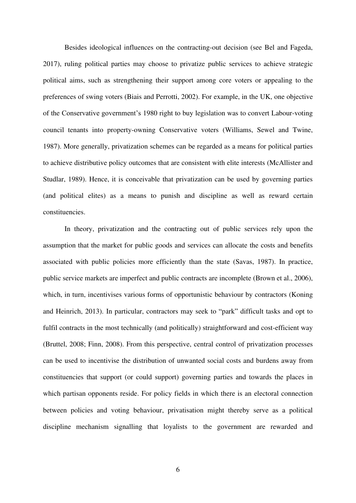Besides ideological influences on the contracting-out decision (see Bel and Fageda, 2017), ruling political parties may choose to privatize public services to achieve strategic political aims, such as strengthening their support among core voters or appealing to the preferences of swing voters (Biais and Perrotti, 2002). For example, in the UK, one objective of the Conservative government's 1980 right to buy legislation was to convert Labour-voting council tenants into property-owning Conservative voters (Williams, Sewel and Twine, 1987). More generally, privatization schemes can be regarded as a means for political parties to achieve distributive policy outcomes that are consistent with elite interests (McAllister and Studlar, 1989). Hence, it is conceivable that privatization can be used by governing parties (and political elites) as a means to punish and discipline as well as reward certain constituencies.

In theory, privatization and the contracting out of public services rely upon the assumption that the market for public goods and services can allocate the costs and benefits associated with public policies more efficiently than the state (Savas, 1987). In practice, public service markets are imperfect and public contracts are incomplete (Brown et al., 2006), which, in turn, incentivises various forms of opportunistic behaviour by contractors (Koning and Heinrich, 2013). In particular, contractors may seek to "park" difficult tasks and opt to fulfil contracts in the most technically (and politically) straightforward and cost-efficient way (Bruttel, 2008; Finn, 2008). From this perspective, central control of privatization processes can be used to incentivise the distribution of unwanted social costs and burdens away from constituencies that support (or could support) governing parties and towards the places in which partisan opponents reside. For policy fields in which there is an electoral connection between policies and voting behaviour, privatisation might thereby serve as a political discipline mechanism signalling that loyalists to the government are rewarded and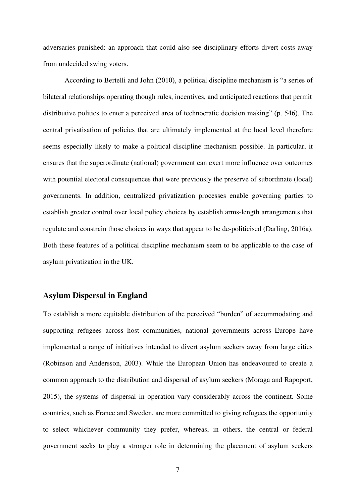adversaries punished: an approach that could also see disciplinary efforts divert costs away from undecided swing voters.

According to Bertelli and John (2010), a political discipline mechanism is "a series of bilateral relationships operating though rules, incentives, and anticipated reactions that permit distributive politics to enter a perceived area of technocratic decision making" (p. 546). The central privatisation of policies that are ultimately implemented at the local level therefore seems especially likely to make a political discipline mechanism possible. In particular, it ensures that the superordinate (national) government can exert more influence over outcomes with potential electoral consequences that were previously the preserve of subordinate (local) governments. In addition, centralized privatization processes enable governing parties to establish greater control over local policy choices by establish arms-length arrangements that regulate and constrain those choices in ways that appear to be de-politicised (Darling, 2016a). Both these features of a political discipline mechanism seem to be applicable to the case of asylum privatization in the UK.

#### **Asylum Dispersal in England**

To establish a more equitable distribution of the perceived "burden" of accommodating and supporting refugees across host communities, national governments across Europe have implemented a range of initiatives intended to divert asylum seekers away from large cities (Robinson and Andersson, 2003). While the European Union has endeavoured to create a common approach to the distribution and dispersal of asylum seekers (Moraga and Rapoport, 2015), the systems of dispersal in operation vary considerably across the continent. Some countries, such as France and Sweden, are more committed to giving refugees the opportunity to select whichever community they prefer, whereas, in others, the central or federal government seeks to play a stronger role in determining the placement of asylum seekers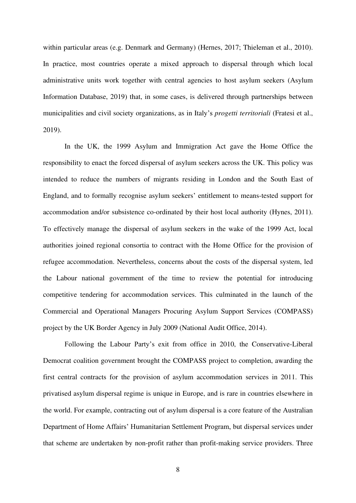within particular areas (e.g. Denmark and Germany) (Hernes, 2017; Thieleman et al., 2010). In practice, most countries operate a mixed approach to dispersal through which local administrative units work together with central agencies to host asylum seekers (Asylum Information Database, 2019) that, in some cases, is delivered through partnerships between municipalities and civil society organizations, as in Italy's *progetti territoriali* (Fratesi et al., 2019).

In the UK, the 1999 Asylum and Immigration Act gave the Home Office the responsibility to enact the forced dispersal of asylum seekers across the UK. This policy was intended to reduce the numbers of migrants residing in London and the South East of England, and to formally recognise asylum seekers' entitlement to means-tested support for accommodation and/or subsistence co-ordinated by their host local authority (Hynes, 2011). To effectively manage the dispersal of asylum seekers in the wake of the 1999 Act, local authorities joined regional consortia to contract with the Home Office for the provision of refugee accommodation. Nevertheless, concerns about the costs of the dispersal system, led the Labour national government of the time to review the potential for introducing competitive tendering for accommodation services. This culminated in the launch of the Commercial and Operational Managers Procuring Asylum Support Services (COMPASS) project by the UK Border Agency in July 2009 (National Audit Office, 2014).

Following the Labour Party's exit from office in 2010, the Conservative-Liberal Democrat coalition government brought the COMPASS project to completion, awarding the first central contracts for the provision of asylum accommodation services in 2011. This privatised asylum dispersal regime is unique in Europe, and is rare in countries elsewhere in the world. For example, contracting out of asylum dispersal is a core feature of the Australian Department of Home Affairs' Humanitarian Settlement Program, but dispersal services under that scheme are undertaken by non-profit rather than profit-making service providers. Three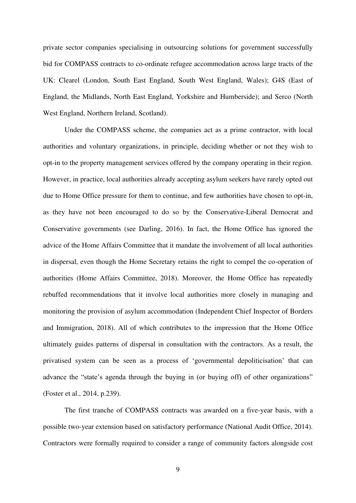private sector companies specialising in outsourcing solutions for government successfully bid for COMPASS contracts to co-ordinate refugee accommodation across large tracts of the UK: Clearel (London, South East England, South West England, Wales); G4S (East of England, the Midlands, North East England, Yorkshire and Humberside); and Serco (North West England, Northern Ireland, Scotland).

Under the COMPASS scheme, the companies act as a prime contractor, with local authorities and voluntary organizations, in principle, deciding whether or not they wish to opt-in to the property management services offered by the company operating in their region. However, in practice, local authorities already accepting asylum seekers have rarely opted out due to Home Office pressure for them to continue, and few authorities have chosen to opt-in, as they have not been encouraged to do so by the Conservative-Liberal Democrat and Conservative governments (see Darling, 2016). In fact, the Home Office has ignored the advice of the Home Affairs Committee that it mandate the involvement of all local authorities in dispersal, even though the Home Secretary retains the right to compel the co-operation of authorities (Home Affairs Committee, 2018). Moreover, the Home Office has repeatedly rebuffed recommendations that it involve local authorities more closely in managing and monitoring the provision of asylum accommodation (Independent Chief Inspector of Borders and Immigration, 2018). All of which contributes to the impression that the Home Office ultimately guides patterns of dispersal in consultation with the contractors. As a result, the privatised system can be seen as a process of 'governmental depoliticisation' that can advance the "state's agenda through the buying in (or buying off) of other organizations" (Foster et al., 2014, p.239).

The first tranche of COMPASS contracts was awarded on a five-year basis, with a possible two-year extension based on satisfactory performance (National Audit Office, 2014). Contractors were formally required to consider a range of community factors alongside cost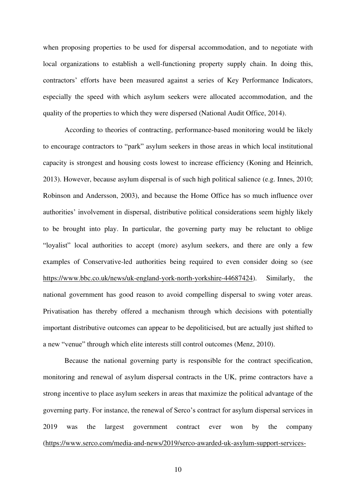when proposing properties to be used for dispersal accommodation, and to negotiate with local organizations to establish a well-functioning property supply chain. In doing this, contractors' efforts have been measured against a series of Key Performance Indicators, especially the speed with which asylum seekers were allocated accommodation, and the quality of the properties to which they were dispersed (National Audit Office, 2014).

According to theories of contracting, performance-based monitoring would be likely to encourage contractors to "park" asylum seekers in those areas in which local institutional capacity is strongest and housing costs lowest to increase efficiency (Koning and Heinrich, 2013). However, because asylum dispersal is of such high political salience (e.g. Innes, 2010; Robinson and Andersson, 2003), and because the Home Office has so much influence over authorities' involvement in dispersal, distributive political considerations seem highly likely to be brought into play. In particular, the governing party may be reluctant to oblige "loyalist" local authorities to accept (more) asylum seekers, and there are only a few examples of Conservative-led authorities being required to even consider doing so (see [https://www.bbc.co.uk/news/uk-england-york-north-yorkshire-44687424\)](https://www.bbc.co.uk/news/uk-england-york-north-yorkshire-44687424). Similarly, the national government has good reason to avoid compelling dispersal to swing voter areas. Privatisation has thereby offered a mechanism through which decisions with potentially important distributive outcomes can appear to be depoliticised, but are actually just shifted to a new "venue" through which elite interests still control outcomes (Menz, 2010).

Because the national governing party is responsible for the contract specification, monitoring and renewal of asylum dispersal contracts in the UK, prime contractors have a strong incentive to place asylum seekers in areas that maximize the political advantage of the governing party. For instance, the renewal of Serco's contract for asylum dispersal services in 2019 was the largest government contract ever won by the company [\(https://www.serco.com/media-and-news/2019/serco-awarded-uk-asylum-support-services-](https://www.serco.com/media-and-news/2019/serco-awarded-uk-asylum-support-services-contracts-with-an-estimated-value-of-19bn-sercos-largest-ever-contract-award)

10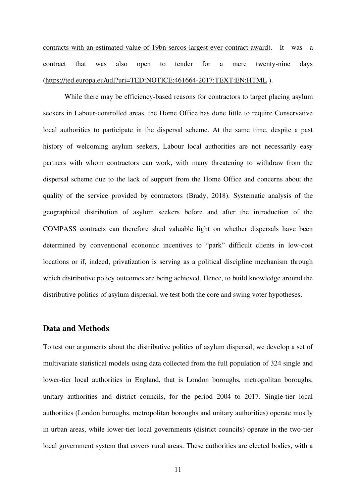[contracts-with-an-estimated-value-of-19bn-sercos-largest-ever-contract-award\)](https://www.serco.com/media-and-news/2019/serco-awarded-uk-asylum-support-services-contracts-with-an-estimated-value-of-19bn-sercos-largest-ever-contract-award). It was a contract that was also open to tender for a mere twenty-nine days [\(https://ted.europa.eu/udl?uri=TED:NOTICE:461664-2017:TEXT:EN:HTML](https://ted.europa.eu/udl?uri=TED:NOTICE:461664-2017:TEXT:EN:HTML) ).

While there may be efficiency-based reasons for contractors to target placing asylum seekers in Labour-controlled areas, the Home Office has done little to require Conservative local authorities to participate in the dispersal scheme. At the same time, despite a past history of welcoming asylum seekers, Labour local authorities are not necessarily easy partners with whom contractors can work, with many threatening to withdraw from the dispersal scheme due to the lack of support from the Home Office and concerns about the quality of the service provided by contractors (Brady, 2018). Systematic analysis of the geographical distribution of asylum seekers before and after the introduction of the COMPASS contracts can therefore shed valuable light on whether dispersals have been determined by conventional economic incentives to "park" difficult clients in low-cost locations or if, indeed, privatization is serving as a political discipline mechanism through which distributive policy outcomes are being achieved. Hence, to build knowledge around the distributive politics of asylum dispersal, we test both the core and swing voter hypotheses.

#### **Data and Methods**

To test our arguments about the distributive politics of asylum dispersal, we develop a set of multivariate statistical models using data collected from the full population of 324 single and lower-tier local authorities in England, that is London boroughs, metropolitan boroughs, unitary authorities and district councils, for the period 2004 to 2017. Single-tier local authorities (London boroughs, metropolitan boroughs and unitary authorities) operate mostly in urban areas, while lower-tier local governments (district councils) operate in the two-tier local government system that covers rural areas. These authorities are elected bodies, with a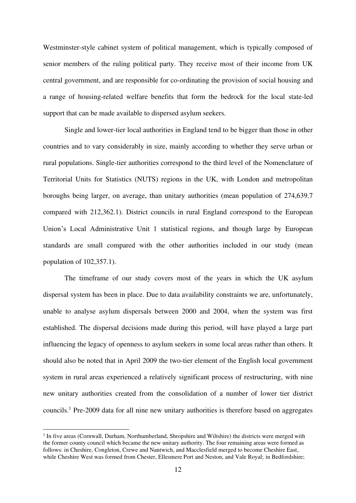Westminster-style cabinet system of political management, which is typically composed of senior members of the ruling political party. They receive most of their income from UK central government, and are responsible for co-ordinating the provision of social housing and a range of housing-related welfare benefits that form the bedrock for the local state-led support that can be made available to dispersed asylum seekers.

Single and lower-tier local authorities in England tend to be bigger than those in other countries and to vary considerably in size, mainly according to whether they serve urban or rural populations. Single-tier authorities correspond to the third level of the Nomenclature of Territorial Units for Statistics (NUTS) regions in the UK, with London and metropolitan boroughs being larger, on average, than unitary authorities (mean population of 274,639.7 compared with 212,362.1). District councils in rural England correspond to the European Union's Local Administrative Unit 1 statistical regions, and though large by European standards are small compared with the other authorities included in our study (mean population of 102,357.1).

The timeframe of our study covers most of the years in which the UK asylum dispersal system has been in place. Due to data availability constraints we are, unfortunately, unable to analyse asylum dispersals between 2000 and 2004, when the system was first established. The dispersal decisions made during this period, will have played a large part influencing the legacy of openness to asylum seekers in some local areas rather than others. It should also be noted that in April 2009 the two-tier element of the English local government system in rural areas experienced a relatively significant process of restructuring, with nine new unitary authorities created from the consolidation of a number of lower tier district councils.<sup>1</sup> Pre-2009 data for all nine new unitary authorities is therefore based on aggregates

<sup>&</sup>lt;sup>1</sup> In five areas (Cornwall, Durham, Northumberland, Shropshire and Wiltshire) the districts were merged with the former county council which became the new unitary authority. The four remaining areas were formed as follows: in Cheshire, Congleton, Crewe and Nantwich, and Macclesfield merged to become Cheshire East, while Cheshire West was formed from Chester, Ellesmere Port and Neston, and Vale Royal; in Bedfordshire;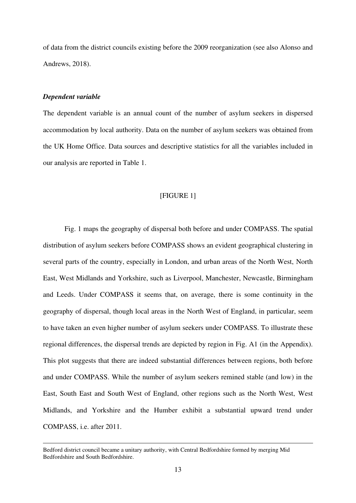of data from the district councils existing before the 2009 reorganization (see also Alonso and Andrews, 2018).

#### *Dependent variable*

The dependent variable is an annual count of the number of asylum seekers in dispersed accommodation by local authority. Data on the number of asylum seekers was obtained from the UK Home Office. Data sources and descriptive statistics for all the variables included in our analysis are reported in Table 1.

#### [FIGURE 1]

Fig. 1 maps the geography of dispersal both before and under COMPASS. The spatial distribution of asylum seekers before COMPASS shows an evident geographical clustering in several parts of the country, especially in London, and urban areas of the North West, North East, West Midlands and Yorkshire, such as Liverpool, Manchester, Newcastle, Birmingham and Leeds. Under COMPASS it seems that, on average, there is some continuity in the geography of dispersal, though local areas in the North West of England, in particular, seem to have taken an even higher number of asylum seekers under COMPASS. To illustrate these regional differences, the dispersal trends are depicted by region in Fig. A1 (in the Appendix). This plot suggests that there are indeed substantial differences between regions, both before and under COMPASS. While the number of asylum seekers remined stable (and low) in the East, South East and South West of England, other regions such as the North West, West Midlands, and Yorkshire and the Humber exhibit a substantial upward trend under COMPASS, i.e. after 2011.

Bedford district council became a unitary authority, with Central Bedfordshire formed by merging Mid Bedfordshire and South Bedfordshire.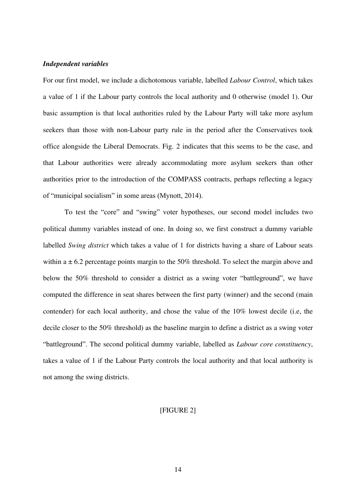#### *Independent variables*

For our first model, we include a dichotomous variable, labelled *Labour Control*, which takes a value of 1 if the Labour party controls the local authority and 0 otherwise (model 1). Our basic assumption is that local authorities ruled by the Labour Party will take more asylum seekers than those with non-Labour party rule in the period after the Conservatives took office alongside the Liberal Democrats. Fig. 2 indicates that this seems to be the case, and that Labour authorities were already accommodating more asylum seekers than other authorities prior to the introduction of the COMPASS contracts, perhaps reflecting a legacy of "municipal socialism" in some areas (Mynott, 2014).

To test the "core" and "swing" voter hypotheses, our second model includes two political dummy variables instead of one. In doing so, we first construct a dummy variable labelled *Swing district* which takes a value of 1 for districts having a share of Labour seats within a  $\pm$  6.2 percentage points margin to the 50% threshold. To select the margin above and below the 50% threshold to consider a district as a swing voter "battleground", we have computed the difference in seat shares between the first party (winner) and the second (main contender) for each local authority, and chose the value of the 10% lowest decile (i.e, the decile closer to the 50% threshold) as the baseline margin to define a district as a swing voter "battleground". The second political dummy variable, labelled as *Labour core constituency*, takes a value of 1 if the Labour Party controls the local authority and that local authority is not among the swing districts.

#### [FIGURE 2]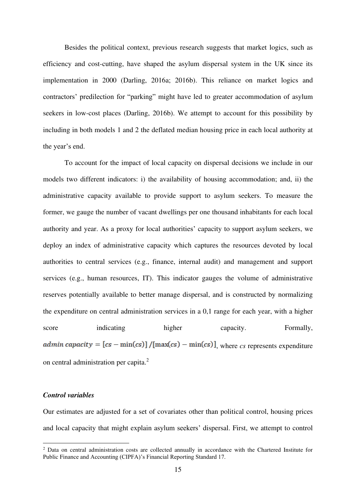Besides the political context, previous research suggests that market logics, such as efficiency and cost-cutting, have shaped the asylum dispersal system in the UK since its implementation in 2000 (Darling, 2016a; 2016b). This reliance on market logics and contractors' predilection for "parking" might have led to greater accommodation of asylum seekers in low-cost places (Darling, 2016b). We attempt to account for this possibility by including in both models 1 and 2 the deflated median housing price in each local authority at the year's end.

To account for the impact of local capacity on dispersal decisions we include in our models two different indicators: i) the availability of housing accommodation; and, ii) the administrative capacity available to provide support to asylum seekers. To measure the former, we gauge the number of vacant dwellings per one thousand inhabitants for each local authority and year. As a proxy for local authorities' capacity to support asylum seekers, we deploy an index of administrative capacity which captures the resources devoted by local authorities to central services (e.g., finance, internal audit) and management and support services (e.g., human resources, IT). This indicator gauges the volume of administrative reserves potentially available to better manage dispersal, and is constructed by normalizing the expenditure on central administration services in a 0,1 range for each year, with a higher score indicating higher capacity. Formally, *ddmin capacity* =  $[cs - min(cs)] / [max(cs) - min(cs)]$ , where *cs* represents expenditure on central administration per capita.<sup>2</sup>

#### *Control variables*

Our estimates are adjusted for a set of covariates other than political control, housing prices and local capacity that might explain asylum seekers' dispersal. First, we attempt to control

<sup>&</sup>lt;sup>2</sup> Data on central administration costs are collected annually in accordance with the Chartered Institute for Public Finance and Accounting (CIPFA)'s Financial Reporting Standard 17.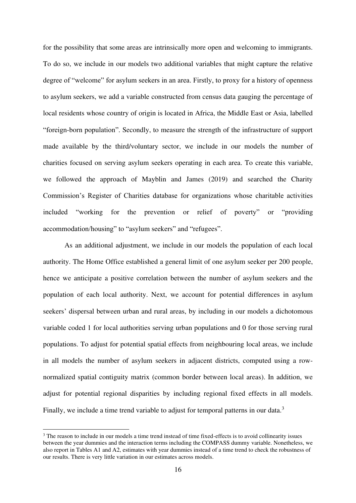for the possibility that some areas are intrinsically more open and welcoming to immigrants. To do so, we include in our models two additional variables that might capture the relative degree of "welcome" for asylum seekers in an area. Firstly, to proxy for a history of openness to asylum seekers, we add a variable constructed from census data gauging the percentage of local residents whose country of origin is located in Africa, the Middle East or Asia, labelled "foreign-born population". Secondly, to measure the strength of the infrastructure of support made available by the third/voluntary sector, we include in our models the number of charities focused on serving asylum seekers operating in each area. To create this variable, we followed the approach of Mayblin and James (2019) and searched the Charity Commission's Register of Charities database for organizations whose charitable activities included "working for the prevention or relief of poverty" or "providing accommodation/housing" to "asylum seekers" and "refugees".

As an additional adjustment, we include in our models the population of each local authority. The Home Office established a general limit of one asylum seeker per 200 people, hence we anticipate a positive correlation between the number of asylum seekers and the population of each local authority. Next, we account for potential differences in asylum seekers' dispersal between urban and rural areas, by including in our models a dichotomous variable coded 1 for local authorities serving urban populations and 0 for those serving rural populations. To adjust for potential spatial effects from neighbouring local areas, we include in all models the number of asylum seekers in adjacent districts, computed using a rownormalized spatial contiguity matrix (common border between local areas). In addition, we adjust for potential regional disparities by including regional fixed effects in all models. Finally, we include a time trend variable to adjust for temporal patterns in our data.<sup>3</sup>

<sup>&</sup>lt;sup>3</sup> The reason to include in our models a time trend instead of time fixed-effects is to avoid collinearity issues between the year dummies and the interaction terms including the COMPASS dummy variable. Nonetheless, we also report in Tables A1 and A2, estimates with year dummies instead of a time trend to check the robustness of our results. There is very little variation in our estimates across models.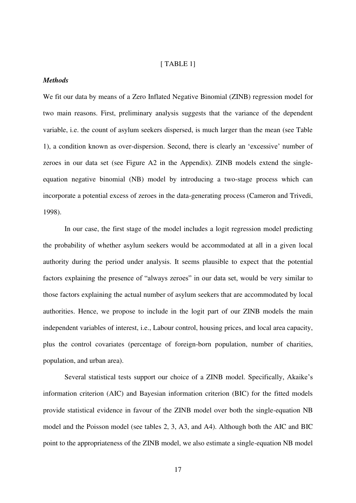#### [ TABLE 1]

#### *Methods*

We fit our data by means of a Zero Inflated Negative Binomial (ZINB) regression model for two main reasons. First, preliminary analysis suggests that the variance of the dependent variable, i.e. the count of asylum seekers dispersed, is much larger than the mean (see Table 1), a condition known as over-dispersion. Second, there is clearly an 'excessive' number of zeroes in our data set (see Figure A2 in the Appendix). ZINB models extend the singleequation negative binomial (NB) model by introducing a two-stage process which can incorporate a potential excess of zeroes in the data-generating process (Cameron and Trivedi, 1998).

In our case, the first stage of the model includes a logit regression model predicting the probability of whether asylum seekers would be accommodated at all in a given local authority during the period under analysis. It seems plausible to expect that the potential factors explaining the presence of "always zeroes" in our data set, would be very similar to those factors explaining the actual number of asylum seekers that are accommodated by local authorities. Hence, we propose to include in the logit part of our ZINB models the main independent variables of interest, i.e., Labour control, housing prices, and local area capacity, plus the control covariates (percentage of foreign-born population, number of charities, population, and urban area).

Several statistical tests support our choice of a ZINB model. Specifically, Akaike's information criterion (AIC) and Bayesian information criterion (BIC) for the fitted models provide statistical evidence in favour of the ZINB model over both the single-equation NB model and the Poisson model (see tables 2, 3, A3, and A4). Although both the AIC and BIC point to the appropriateness of the ZINB model, we also estimate a single-equation NB model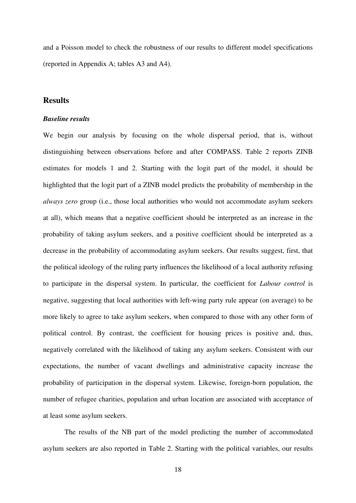and a Poisson model to check the robustness of our results to different model specifications (reported in Appendix A; tables A3 and A4).

#### **Results**

#### *Baseline results*

We begin our analysis by focusing on the whole dispersal period, that is, without distinguishing between observations before and after COMPASS. Table 2 reports ZINB estimates for models 1 and 2. Starting with the logit part of the model, it should be highlighted that the logit part of a ZINB model predicts the probability of membership in the *always zero* group (i.e., those local authorities who would not accommodate asylum seekers at all), which means that a negative coefficient should be interpreted as an increase in the probability of taking asylum seekers, and a positive coefficient should be interpreted as a decrease in the probability of accommodating asylum seekers. Our results suggest, first, that the political ideology of the ruling party influences the likelihood of a local authority refusing to participate in the dispersal system. In particular, the coefficient for *Labour control* is negative, suggesting that local authorities with left-wing party rule appear (on average) to be more likely to agree to take asylum seekers, when compared to those with any other form of political control. By contrast, the coefficient for housing prices is positive and, thus, negatively correlated with the likelihood of taking any asylum seekers. Consistent with our expectations, the number of vacant dwellings and administrative capacity increase the probability of participation in the dispersal system. Likewise, foreign-born population, the number of refugee charities, population and urban location are associated with acceptance of at least some asylum seekers.

The results of the NB part of the model predicting the number of accommodated asylum seekers are also reported in Table 2. Starting with the political variables, our results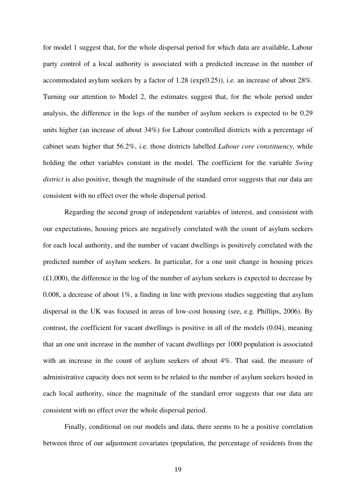for model 1 suggest that, for the whole dispersal period for which data are available, Labour party control of a local authority is associated with a predicted increase in the number of accommodated asylum seekers by a factor of  $1.28$  (exp(0.25)), i.e. an increase of about 28%. Turning our attention to Model 2, the estimates suggest that, for the whole period under analysis, the difference in the logs of the number of asylum seekers is expected to be 0.29 units higher (an increase of about 34%) for Labour controlled districts with a percentage of cabinet seats higher that 56.2%, i.e. those districts labelled *Labour core constituency*, while holding the other variables constant in the model. The coefficient for the variable *Swing district* is also positive, though the magnitude of the standard error suggests that our data are consistent with no effect over the whole dispersal period.

Regarding the second group of independent variables of interest, and consistent with our expectations, housing prices are negatively correlated with the count of asylum seekers for each local authority, and the number of vacant dwellings is positively correlated with the predicted number of asylum seekers. In particular, for a one unit change in housing prices  $(£1,000)$ , the difference in the log of the number of asylum seekers is expected to decrease by 0.008, a decrease of about  $1\%$ , a finding in line with previous studies suggesting that asylum dispersal in the UK was focused in areas of low-cost housing (see, e.g. Phillips, 2006). By contrast, the coefficient for vacant dwellings is positive in all of the models (0.04), meaning that an one unit increase in the number of vacant dwellings per 1000 population is associated with an increase in the count of asylum seekers of about 4%. That said, the measure of administrative capacity does not seem to be related to the number of asylum seekers hosted in each local authority, since the magnitude of the standard error suggests that our data are consistent with no effect over the whole dispersal period.

Finally, conditional on our models and data, there seems to be a positive correlation between three of our adjustment covariates (population, the percentage of residents from the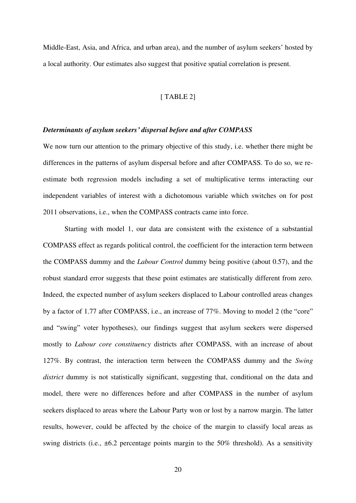Middle-East, Asia, and Africa, and urban area), and the number of asylum seekers' hosted by a local authority. Our estimates also suggest that positive spatial correlation is present.

#### [ TABLE 2]

#### *Determinants of asylum seekers' dispersal before and after COMPASS*

We now turn our attention to the primary objective of this study, i.e. whether there might be differences in the patterns of asylum dispersal before and after COMPASS. To do so, we reestimate both regression models including a set of multiplicative terms interacting our independent variables of interest with a dichotomous variable which switches on for post 2011 observations, i.e., when the COMPASS contracts came into force.

Starting with model 1, our data are consistent with the existence of a substantial COMPASS effect as regards political control, the coefficient for the interaction term between the COMPASS dummy and the *Labour Control* dummy being positive (about 0.57), and the robust standard error suggests that these point estimates are statistically different from zero. Indeed, the expected number of asylum seekers displaced to Labour controlled areas changes by a factor of 1.77 after COMPASS, i.e., an increase of 77%. Moving to model 2 (the "core" and "swing" voter hypotheses), our findings suggest that asylum seekers were dispersed mostly to *Labour core constituency* districts after COMPASS, with an increase of about 127%. By contrast, the interaction term between the COMPASS dummy and the *Swing district* dummy is not statistically significant, suggesting that, conditional on the data and model, there were no differences before and after COMPASS in the number of asylum seekers displaced to areas where the Labour Party won or lost by a narrow margin. The latter results, however, could be affected by the choice of the margin to classify local areas as swing districts (i.e., ±6.2 percentage points margin to the 50% threshold). As a sensitivity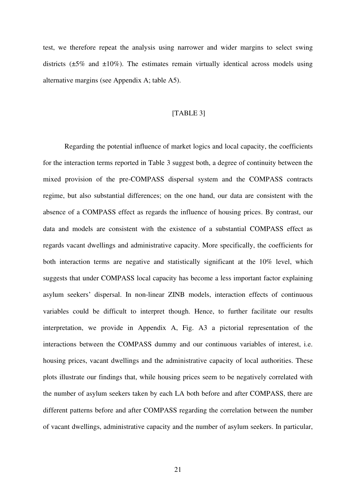test, we therefore repeat the analysis using narrower and wider margins to select swing districts  $(\pm 5\%$  and  $\pm 10\%)$ . The estimates remain virtually identical across models using alternative margins (see Appendix A; table A5).

#### [TABLE 3]

Regarding the potential influence of market logics and local capacity, the coefficients for the interaction terms reported in Table 3 suggest both, a degree of continuity between the mixed provision of the pre-COMPASS dispersal system and the COMPASS contracts regime, but also substantial differences; on the one hand, our data are consistent with the absence of a COMPASS effect as regards the influence of housing prices. By contrast, our data and models are consistent with the existence of a substantial COMPASS effect as regards vacant dwellings and administrative capacity. More specifically, the coefficients for both interaction terms are negative and statistically significant at the 10% level, which suggests that under COMPASS local capacity has become a less important factor explaining asylum seekers' dispersal. In non-linear ZINB models, interaction effects of continuous variables could be difficult to interpret though. Hence, to further facilitate our results interpretation, we provide in Appendix A, Fig. A3 a pictorial representation of the interactions between the COMPASS dummy and our continuous variables of interest, i.e. housing prices, vacant dwellings and the administrative capacity of local authorities. These plots illustrate our findings that, while housing prices seem to be negatively correlated with the number of asylum seekers taken by each LA both before and after COMPASS, there are different patterns before and after COMPASS regarding the correlation between the number of vacant dwellings, administrative capacity and the number of asylum seekers. In particular,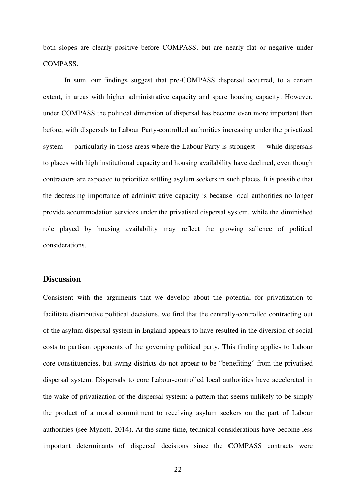both slopes are clearly positive before COMPASS, but are nearly flat or negative under COMPASS.

In sum, our findings suggest that pre-COMPASS dispersal occurred, to a certain extent, in areas with higher administrative capacity and spare housing capacity. However, under COMPASS the political dimension of dispersal has become even more important than before, with dispersals to Labour Party-controlled authorities increasing under the privatized system — particularly in those areas where the Labour Party is strongest — while dispersals to places with high institutional capacity and housing availability have declined, even though contractors are expected to prioritize settling asylum seekers in such places. It is possible that the decreasing importance of administrative capacity is because local authorities no longer provide accommodation services under the privatised dispersal system, while the diminished role played by housing availability may reflect the growing salience of political considerations.

#### **Discussion**

Consistent with the arguments that we develop about the potential for privatization to facilitate distributive political decisions, we find that the centrally-controlled contracting out of the asylum dispersal system in England appears to have resulted in the diversion of social costs to partisan opponents of the governing political party. This finding applies to Labour core constituencies, but swing districts do not appear to be "benefiting" from the privatised dispersal system. Dispersals to core Labour-controlled local authorities have accelerated in the wake of privatization of the dispersal system: a pattern that seems unlikely to be simply the product of a moral commitment to receiving asylum seekers on the part of Labour authorities (see Mynott, 2014). At the same time, technical considerations have become less important determinants of dispersal decisions since the COMPASS contracts were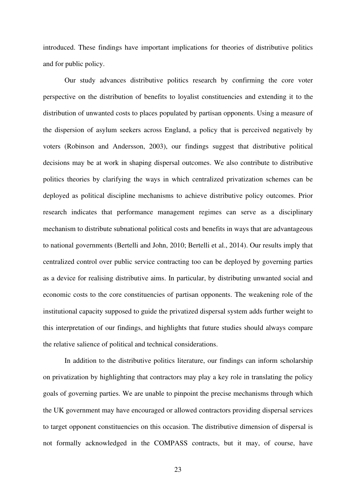introduced. These findings have important implications for theories of distributive politics and for public policy.

Our study advances distributive politics research by confirming the core voter perspective on the distribution of benefits to loyalist constituencies and extending it to the distribution of unwanted costs to places populated by partisan opponents. Using a measure of the dispersion of asylum seekers across England, a policy that is perceived negatively by voters (Robinson and Andersson, 2003), our findings suggest that distributive political decisions may be at work in shaping dispersal outcomes. We also contribute to distributive politics theories by clarifying the ways in which centralized privatization schemes can be deployed as political discipline mechanisms to achieve distributive policy outcomes. Prior research indicates that performance management regimes can serve as a disciplinary mechanism to distribute subnational political costs and benefits in ways that are advantageous to national governments (Bertelli and John, 2010; Bertelli et al., 2014). Our results imply that centralized control over public service contracting too can be deployed by governing parties as a device for realising distributive aims. In particular, by distributing unwanted social and economic costs to the core constituencies of partisan opponents. The weakening role of the institutional capacity supposed to guide the privatized dispersal system adds further weight to this interpretation of our findings, and highlights that future studies should always compare the relative salience of political and technical considerations.

In addition to the distributive politics literature, our findings can inform scholarship on privatization by highlighting that contractors may play a key role in translating the policy goals of governing parties. We are unable to pinpoint the precise mechanisms through which the UK government may have encouraged or allowed contractors providing dispersal services to target opponent constituencies on this occasion. The distributive dimension of dispersal is not formally acknowledged in the COMPASS contracts, but it may, of course, have

23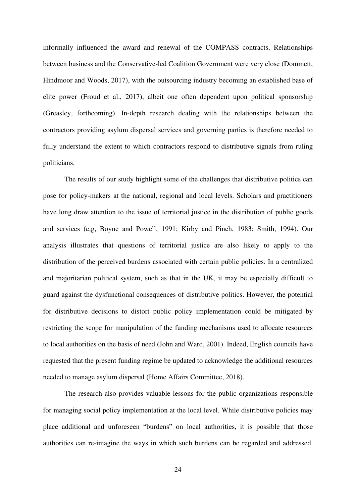informally influenced the award and renewal of the COMPASS contracts. Relationships between business and the Conservative-led Coalition Government were very close (Dommett, Hindmoor and Woods, 2017), with the outsourcing industry becoming an established base of elite power (Froud et al., 2017), albeit one often dependent upon political sponsorship (Greasley, forthcoming). In-depth research dealing with the relationships between the contractors providing asylum dispersal services and governing parties is therefore needed to fully understand the extent to which contractors respond to distributive signals from ruling politicians.

The results of our study highlight some of the challenges that distributive politics can pose for policy-makers at the national, regional and local levels. Scholars and practitioners have long draw attention to the issue of territorial justice in the distribution of public goods and services (e,g, Boyne and Powell, 1991; Kirby and Pinch, 1983; Smith, 1994). Our analysis illustrates that questions of territorial justice are also likely to apply to the distribution of the perceived burdens associated with certain public policies. In a centralized and majoritarian political system, such as that in the UK, it may be especially difficult to guard against the dysfunctional consequences of distributive politics. However, the potential for distributive decisions to distort public policy implementation could be mitigated by restricting the scope for manipulation of the funding mechanisms used to allocate resources to local authorities on the basis of need (John and Ward, 2001). Indeed, English councils have requested that the present funding regime be updated to acknowledge the additional resources needed to manage asylum dispersal (Home Affairs Committee, 2018).

The research also provides valuable lessons for the public organizations responsible for managing social policy implementation at the local level. While distributive policies may place additional and unforeseen "burdens" on local authorities, it is possible that those authorities can re-imagine the ways in which such burdens can be regarded and addressed.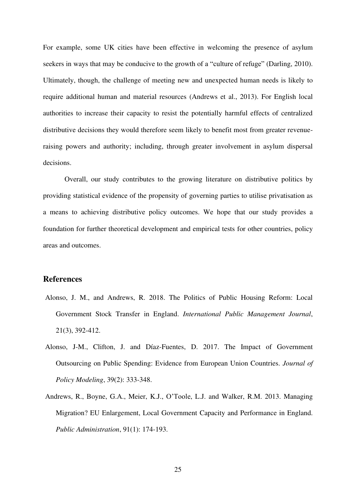For example, some UK cities have been effective in welcoming the presence of asylum seekers in ways that may be conducive to the growth of a "culture of refuge" (Darling, 2010). Ultimately, though, the challenge of meeting new and unexpected human needs is likely to require additional human and material resources (Andrews et al., 2013). For English local authorities to increase their capacity to resist the potentially harmful effects of centralized distributive decisions they would therefore seem likely to benefit most from greater revenueraising powers and authority; including, through greater involvement in asylum dispersal decisions.

Overall, our study contributes to the growing literature on distributive politics by providing statistical evidence of the propensity of governing parties to utilise privatisation as a means to achieving distributive policy outcomes. We hope that our study provides a foundation for further theoretical development and empirical tests for other countries, policy areas and outcomes.

### **References**

- Alonso, J. M., and Andrews, R. 2018. The Politics of Public Housing Reform: Local Government Stock Transfer in England. *International Public Management Journal*, 21(3), 392-412.
- Alonso, J-M., Clifton, J. and Díaz-Fuentes, D. 2017. The Impact of Government Outsourcing on Public Spending: Evidence from European Union Countries. *Journal of Policy Modeling*, 39(2): 333-348.
- Andrews, R., Boyne, G.A., Meier, K.J., O'Toole, L.J. and Walker, R.M. 2013. Managing Migration? EU Enlargement, Local Government Capacity and Performance in England. *Public Administration*, 91(1): 174-193.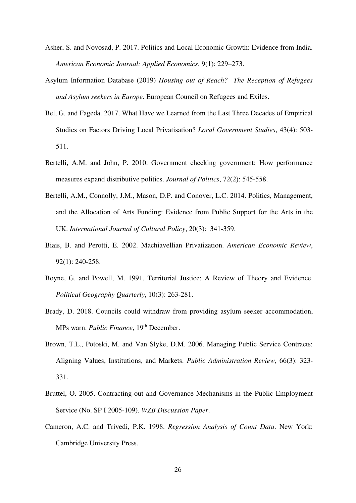- Asher, S. and Novosad, P. 2017. Politics and Local Economic Growth: Evidence from India. *American Economic Journal: Applied Economics*, 9(1): 229–273.
- Asylum Information Database (2019) *Housing out of Reach? The Reception of Refugees and Asylum seekers in Europe*. European Council on Refugees and Exiles.
- Bel, G. and Fageda. 2017. What Have we Learned from the Last Three Decades of Empirical Studies on Factors Driving Local Privatisation? *Local Government Studies*, 43(4): 503- 511.
- Bertelli, A.M. and John, P. 2010. Government checking government: How performance measures expand distributive politics. *Journal of Politics*, 72(2): 545-558.
- Bertelli, A.M., Connolly, J.M., Mason, D.P. and Conover, L.C. 2014. Politics, Management, and the Allocation of Arts Funding: Evidence from Public Support for the Arts in the UK. *International Journal of Cultural Policy*, 20(3): 341-359.
- Biais, B. and Perotti, E. 2002. Machiavellian Privatization. *American Economic Review*, 92(1): 240-258.
- Boyne, G. and Powell, M. 1991. Territorial Justice: A Review of Theory and Evidence. *Political Geography Quarterly*, 10(3): 263-281.
- Brady, D. 2018. Councils could withdraw from providing asylum seeker accommodation, MPs warn. *Public Finance*, 19<sup>th</sup> December.
- Brown, T.L., Potoski, M. and Van Slyke, D.M. 2006. Managing Public Service Contracts: Aligning Values, Institutions, and Markets. *Public Administration Review*, 66(3): 323- 331.
- Bruttel, O. 2005. Contracting-out and Governance Mechanisms in the Public Employment Service (No. SP I 2005-109). *WZB Discussion Paper*.
- Cameron, A.C. and Trivedi, P.K. 1998. *Regression Analysis of Count Data*. New York: Cambridge University Press.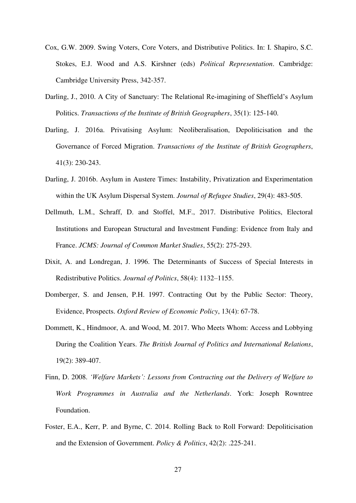- Cox, G.W. 2009. Swing Voters, Core Voters, and Distributive Politics. In: I. Shapiro, S.C. Stokes, E.J. Wood and A.S. Kirshner (eds) *Political Representation*. Cambridge: Cambridge University Press, 342-357.
- Darling, J., 2010. A City of Sanctuary: The Relational Re-imagining of Sheffield's Asylum Politics. *Transactions of the Institute of British Geographers*, 35(1): 125-140.
- Darling, J. 2016a. Privatising Asylum: Neoliberalisation, Depoliticisation and the Governance of Forced Migration. *Transactions of the Institute of British Geographers*, 41(3): 230-243.
- Darling, J. 2016b. Asylum in Austere Times: Instability, Privatization and Experimentation within the UK Asylum Dispersal System. *Journal of Refugee Studies*, 29(4): 483-505.
- Dellmuth, L.M., Schraff, D. and Stoffel, M.F., 2017. Distributive Politics, Electoral Institutions and European Structural and Investment Funding: Evidence from Italy and France. *JCMS: Journal of Common Market Studies*, 55(2): 275-293.
- Dixit, A. and Londregan, J. 1996. The Determinants of Success of Special Interests in Redistributive Politics. *Journal of Politics*, 58(4): 1132–1155.
- Domberger, S. and Jensen, P.H. 1997. Contracting Out by the Public Sector: Theory, Evidence, Prospects. *Oxford Review of Economic Policy*, 13(4): 67-78.
- Dommett, K., Hindmoor, A. and Wood, M. 2017. Who Meets Whom: Access and Lobbying During the Coalition Years. *The British Journal of Politics and International Relations*, 19(2): 389-407.
- Finn, D. 2008. *'Welfare Markets': Lessons from Contracting out the Delivery of Welfare to Work Programmes in Australia and the Netherlands*. York: Joseph Rowntree Foundation.
- Foster, E.A., Kerr, P. and Byrne, C. 2014. Rolling Back to Roll Forward: Depoliticisation and the Extension of Government. *Policy & Politics*, 42(2): .225-241.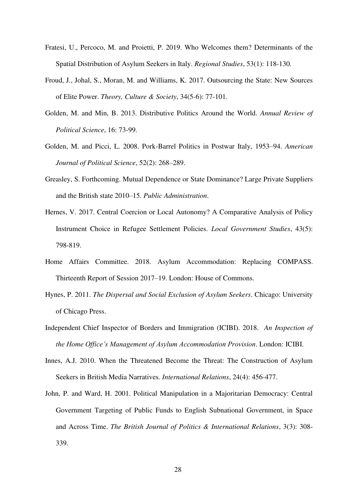- Fratesi, U., Percoco, M. and Proietti, P. 2019. Who Welcomes them? Determinants of the Spatial Distribution of Asylum Seekers in Italy. *Regional Studies*, 53(1): 118-130.
- Froud, J., Johal, S., Moran, M. and Williams, K. 2017. Outsourcing the State: New Sources of Elite Power. *Theory, Culture & Society*, 34(5-6): 77-101.
- Golden, M. and Min, B. 2013. Distributive Politics Around the World. *Annual Review of Political Science*, 16: 73-99.
- Golden, M. and Picci, L. 2008. Pork-Barrel Politics in Postwar Italy, 1953–94. *American Journal of Political Science*, 52(2): 268–289.
- Greasley, S. Forthcoming. Mutual Dependence or State Dominance? Large Private Suppliers and the British state 2010–15. *Public Administration*.
- Hernes, V. 2017. Central Coercion or Local Autonomy? A Comparative Analysis of Policy Instrument Choice in Refugee Settlement Policies. *Local Government Studies*, 43(5): 798-819.
- Home Affairs Committee. 2018. Asylum Accommodation: Replacing COMPASS. Thirteenth Report of Session 2017–19. London: House of Commons.
- Hynes, P. 2011. *The Dispersal and Social Exclusion of Asylum Seekers*. Chicago: University of Chicago Press.
- Independent Chief Inspector of Borders and Immigration (ICIBI). 2018. *An Inspection of the Home Office's Management of Asylum Accommodation Provision*. London: ICIBI.
- Innes, A.J. 2010. When the Threatened Become the Threat: The Construction of Asylum Seekers in British Media Narratives. *International Relations*, 24(4): 456-477.
- John, P. and Ward, H. 2001. Political Manipulation in a Majoritarian Democracy: Central Government Targeting of Public Funds to English Subnational Government, in Space and Across Time. *The British Journal of Politics & International Relations*, 3(3): 308- 339.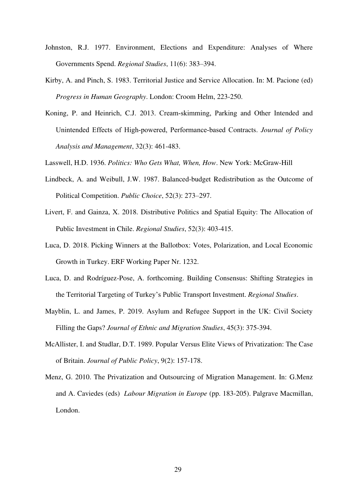- Johnston, R.J. 1977. Environment, Elections and Expenditure: Analyses of Where Governments Spend. *Regional Studies*, 11(6): 383–394.
- Kirby, A. and Pinch, S. 1983. Territorial Justice and Service Allocation. In: M. Pacione (ed) *Progress in Human Geography*. London: Croom Helm, 223-250.
- Koning, P. and Heinrich, C.J. 2013. Cream‐skimming, Parking and Other Intended and Unintended Effects of High‐powered, Performance‐based Contracts. *Journal of Policy Analysis and Management*, 32(3): 461-483.
- Lasswell, H.D. 1936. *Politics: Who Gets What, When, How*. New York: McGraw-Hill
- Lindbeck, A. and Weibull, J.W. 1987. Balanced-budget Redistribution as the Outcome of Political Competition. *Public Choice*, 52(3): 273–297.
- Livert, F. and Gainza, X. 2018. Distributive Politics and Spatial Equity: The Allocation of Public Investment in Chile. *Regional Studies*, 52(3): 403-415.
- Luca, D. 2018. Picking Winners at the Ballotbox: Votes, Polarization, and Local Economic Growth in Turkey. ERF Working Paper Nr. 1232.
- Luca, D. and Rodríguez-Pose, A. forthcoming. Building Consensus: Shifting Strategies in the Territorial Targeting of Turkey's Public Transport Investment. *Regional Studies*.
- Mayblin, L. and James, P. 2019. Asylum and Refugee Support in the UK: Civil Society Filling the Gaps? *Journal of Ethnic and Migration Studies*, 45(3): 375-394.
- McAllister, I. and Studlar, D.T. 1989. Popular Versus Elite Views of Privatization: The Case of Britain. *Journal of Public Policy*, 9(2): 157-178.
- Menz, G. 2010. The Privatization and Outsourcing of Migration Management. In: G.Menz and A. Caviedes (eds) *Labour Migration in Europe* (pp. 183-205). Palgrave Macmillan, London.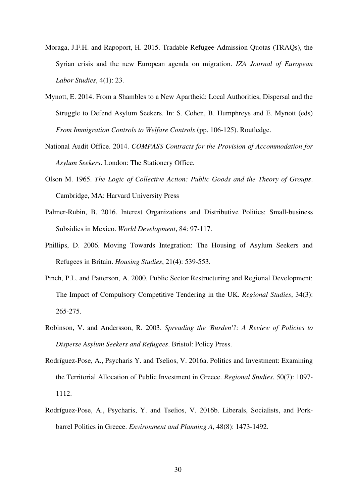- Moraga, J.F.H. and Rapoport, H. 2015. Tradable Refugee-Admission Quotas (TRAQs), the Syrian crisis and the new European agenda on migration. *IZA Journal of European Labor Studies*, 4(1): 23.
- Mynott, E. 2014. From a Shambles to a New Apartheid: Local Authorities, Dispersal and the Struggle to Defend Asylum Seekers. In: S. Cohen, B. Humphreys and E. Mynott (eds) *From Immigration Controls to Welfare Controls* (pp. 106-125). Routledge.
- National Audit Office. 2014. *COMPASS Contracts for the Provision of Accommodation for Asylum Seekers*. London: The Stationery Office.
- Olson M. 1965. *The Logic of Collective Action: Public Goods and the Theory of Groups*. Cambridge, MA: Harvard University Press
- Palmer-Rubin, B. 2016. Interest Organizations and Distributive Politics: Small-business Subsidies in Mexico. *World Development*, 84: 97-117.
- Phillips, D. 2006. Moving Towards Integration: The Housing of Asylum Seekers and Refugees in Britain. *Housing Studies*, 21(4): 539-553.
- Pinch, P.L. and Patterson, A. 2000. Public Sector Restructuring and Regional Development: The Impact of Compulsory Competitive Tendering in the UK. *Regional Studies*, 34(3): 265-275.
- Robinson, V. and Andersson, R. 2003. *Spreading the 'Burden'?: A Review of Policies to Disperse Asylum Seekers and Refugees*. Bristol: Policy Press.
- Rodríguez-Pose, A., Psycharis Y. and Tselios, V. 2016a. Politics and Investment: Examining the Territorial Allocation of Public Investment in Greece. *Regional Studies*, 50(7): 1097- 1112.
- Rodríguez-Pose, A., Psycharis, Y. and Tselios, V. 2016b. Liberals, Socialists, and Porkbarrel Politics in Greece. *Environment and Planning A*, 48(8): 1473-1492.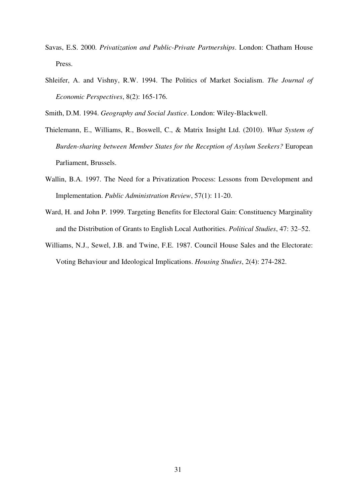- Savas, E.S. 2000. *Privatization and Public-Private Partnerships*. London: Chatham House Press.
- Shleifer, A. and Vishny, R.W. 1994. The Politics of Market Socialism. *The Journal of Economic Perspectives*, 8(2): 165-176.
- Smith, D.M. 1994. *Geography and Social Justice*. London: Wiley-Blackwell.
- Thielemann, E., Williams, R., Boswell, C., & Matrix Insight Ltd. (2010). *What System of Burden-sharing between Member States for the Reception of Asylum Seekers?* European Parliament, Brussels.
- Wallin, B.A. 1997. The Need for a Privatization Process: Lessons from Development and Implementation. *Public Administration Review*, 57(1): 11-20.
- Ward, H. and John P. 1999. Targeting Benefits for Electoral Gain: Constituency Marginality and the Distribution of Grants to English Local Authorities. *Political Studies*, 47: 32–52.
- Williams, N.J., Sewel, J.B. and Twine, F.E. 1987. Council House Sales and the Electorate: Voting Behaviour and Ideological Implications. *Housing Studies*, 2(4): 274-282.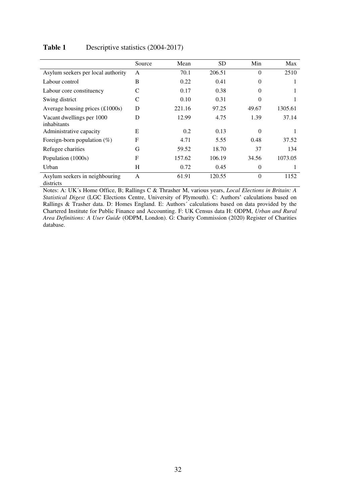|                                                | Source | Mean   | <b>SD</b> | Min      | Max     |
|------------------------------------------------|--------|--------|-----------|----------|---------|
| Asylum seekers per local authority             | A      | 70.1   | 206.51    | $\Omega$ | 2510    |
| Labour control                                 | B      | 0.22   | 0.41      | $\Omega$ |         |
| Labour core constituency                       | C      | 0.17   | 0.38      | 0        |         |
| Swing district                                 | C      | 0.10   | 0.31      | 0        |         |
| Average housing prices $(\text{\pounds}1000s)$ | D      | 221.16 | 97.25     | 49.67    | 1305.61 |
| Vacant dwellings per 1000<br>inhabitants       | D      | 12.99  | 4.75      | 1.39     | 37.14   |
| Administrative capacity                        | E      | 0.2    | 0.13      | $\Omega$ |         |
| Foreign-born population $(\%)$                 | F      | 4.71   | 5.55      | 0.48     | 37.52   |
| Refugee charities                              | G      | 59.52  | 18.70     | 37       | 134     |
| Population (1000s)                             | F      | 157.62 | 106.19    | 34.56    | 1073.05 |
| Urban                                          | H      | 0.72   | 0.45      | $\Omega$ |         |
| Asylum seekers in neighbouring<br>districts    | A      | 61.91  | 120.55    | $\Omega$ | 1152    |

#### Table 1 Descriptive statistics (2004-2017)

Notes: A: UK´s Home Office, B; Rallings C & Thrasher M, various years, *Local Elections in Britain: A Statistical Digest* (LGC Elections Centre, University of Plymouth). C: Authors' calculations based on Rallings & Trasher data. D: Homes England. E: Authors´ calculations based on data provided by the Chartered Institute for Public Finance and Accounting. F: UK Census data H: ODPM, *Urban and Rural Area Definitions: A User Guide* (ODPM, London). G: Charity Commission (2020) Register of Charities database.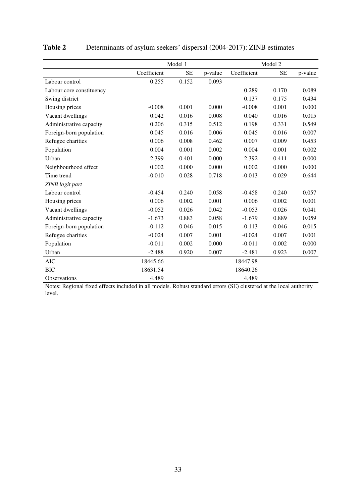|                          |             | Model 1   | Model 2 |             |           |         |
|--------------------------|-------------|-----------|---------|-------------|-----------|---------|
|                          | Coefficient | <b>SE</b> | p-value | Coefficient | <b>SE</b> | p-value |
| Labour control           | 0.255       | 0.152     | 0.093   |             |           |         |
| Labour core constituency |             |           |         | 0.289       | 0.170     | 0.089   |
| Swing district           |             |           |         | 0.137       | 0.175     | 0.434   |
| Housing prices           | $-0.008$    | 0.001     | 0.000   | $-0.008$    | 0.001     | 0.000   |
| Vacant dwellings         | 0.042       | 0.016     | 0.008   | 0.040       | 0.016     | 0.015   |
| Administrative capacity  | 0.206       | 0.315     | 0.512   | 0.198       | 0.331     | 0.549   |
| Foreign-born population  | 0.045       | 0.016     | 0.006   | 0.045       | 0.016     | 0.007   |
| Refugee charities        | 0.006       | 0.008     | 0.462   | 0.007       | 0.009     | 0.453   |
| Population               | 0.004       | 0.001     | 0.002   | 0.004       | 0.001     | 0.002   |
| Urban                    | 2.399       | 0.401     | 0.000   | 2.392       | 0.411     | 0.000   |
| Neighbourhood effect     | 0.002       | 0.000     | 0.000   | 0.002       | 0.000     | 0.000   |
| Time trend               | $-0.010$    | 0.028     | 0.718   | $-0.013$    | 0.029     | 0.644   |
| ZINB logit part          |             |           |         |             |           |         |
| Labour control           | $-0.454$    | 0.240     | 0.058   | $-0.458$    | 0.240     | 0.057   |
| Housing prices           | 0.006       | 0.002     | 0.001   | 0.006       | 0.002     | 0.001   |
| Vacant dwellings         | $-0.052$    | 0.026     | 0.042   | $-0.053$    | 0.026     | 0.041   |
| Administrative capacity  | $-1.673$    | 0.883     | 0.058   | $-1.679$    | 0.889     | 0.059   |
| Foreign-born population  | $-0.112$    | 0.046     | 0.015   | $-0.113$    | 0.046     | 0.015   |
| Refugee charities        | $-0.024$    | 0.007     | 0.001   | $-0.024$    | 0.007     | 0.001   |
| Population               | $-0.011$    | 0.002     | 0.000   | $-0.011$    | 0.002     | 0.000   |
| Urban                    | $-2.488$    | 0.920     | 0.007   | $-2.481$    | 0.923     | 0.007   |
| <b>AIC</b>               | 18445.66    |           |         | 18447.98    |           |         |
| <b>BIC</b>               | 18631.54    |           |         | 18640.26    |           |         |
| <b>Observations</b>      | 4,489       |           |         | 4,489       |           |         |

## Table 2 Determinants of asylum seekers' dispersal (2004-2017): ZINB estimates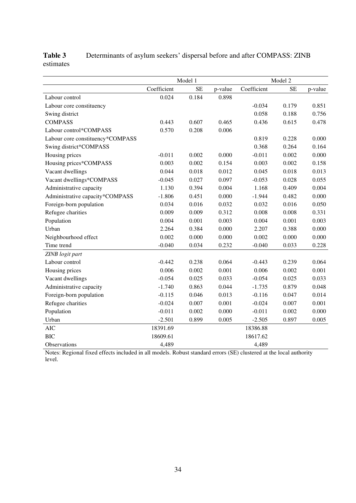|                                  | Model 1<br>Model 2 |           |         |             |           |         |
|----------------------------------|--------------------|-----------|---------|-------------|-----------|---------|
|                                  | Coefficient        | <b>SE</b> | p-value | Coefficient | <b>SE</b> | p-value |
| Labour control                   | 0.024              | 0.184     | 0.898   |             |           |         |
| Labour core constituency         |                    |           |         | $-0.034$    | 0.179     | 0.851   |
| Swing district                   |                    |           |         | 0.058       | 0.188     | 0.756   |
| <b>COMPASS</b>                   | 0.443              | 0.607     | 0.465   | 0.436       | 0.615     | 0.478   |
| Labour control*COMPASS           | 0.570              | 0.208     | 0.006   |             |           |         |
| Labour core constituency*COMPASS |                    |           |         | 0.819       | 0.228     | 0.000   |
| Swing district*COMPASS           |                    |           |         | 0.368       | 0.264     | 0.164   |
| Housing prices                   | $-0.011$           | 0.002     | 0.000   | $-0.011$    | 0.002     | 0.000   |
| Housing prices*COMPASS           | 0.003              | 0.002     | 0.154   | 0.003       | 0.002     | 0.158   |
| Vacant dwellings                 | 0.044              | 0.018     | 0.012   | 0.045       | 0.018     | 0.013   |
| Vacant dwellings*COMPASS         | $-0.045$           | 0.027     | 0.097   | $-0.053$    | 0.028     | 0.055   |
| Administrative capacity          | 1.130              | 0.394     | 0.004   | 1.168       | 0.409     | 0.004   |
| Administrative capacity*COMPASS  | $-1.806$           | 0.451     | 0.000   | $-1.944$    | 0.482     | 0.000   |
| Foreign-born population          | 0.034              | 0.016     | 0.032   | 0.032       | 0.016     | 0.050   |
| Refugee charities                | 0.009              | 0.009     | 0.312   | 0.008       | 0.008     | 0.331   |
| Population                       | 0.004              | 0.001     | 0.003   | 0.004       | 0.001     | 0.003   |
| Urban                            | 2.264              | 0.384     | 0.000   | 2.207       | 0.388     | 0.000   |
| Neighbourhood effect             | 0.002              | 0.000     | 0.000   | 0.002       | 0.000     | 0.000   |
| Time trend                       | $-0.040$           | 0.034     | 0.232   | $-0.040$    | 0.033     | 0.228   |
| ZINB logit part                  |                    |           |         |             |           |         |
| Labour control                   | $-0.442$           | 0.238     | 0.064   | $-0.443$    | 0.239     | 0.064   |
| Housing prices                   | 0.006              | 0.002     | 0.001   | 0.006       | 0.002     | 0.001   |
| Vacant dwellings                 | $-0.054$           | 0.025     | 0.033   | $-0.054$    | 0.025     | 0.033   |
| Administrative capacity          | $-1.740$           | 0.863     | 0.044   | $-1.735$    | 0.879     | 0.048   |
| Foreign-born population          | $-0.115$           | 0.046     | 0.013   | $-0.116$    | 0.047     | 0.014   |
| Refugee charities                | $-0.024$           | 0.007     | 0.001   | $-0.024$    | 0.007     | 0.001   |
| Population                       | $-0.011$           | 0.002     | 0.000   | $-0.011$    | 0.002     | 0.000   |
| Urban                            | $-2.501$           | 0.899     | 0.005   | $-2.505$    | 0.897     | 0.005   |
| <b>AIC</b>                       | 18391.69           |           |         | 18386.88    |           |         |
| <b>BIC</b>                       | 18609.61           |           |         | 18617.62    |           |         |
| <b>Observations</b>              | 4,489              |           |         | 4,489       |           |         |

## **Table 3** Determinants of asylum seekers' dispersal before and after COMPASS: ZINB estimates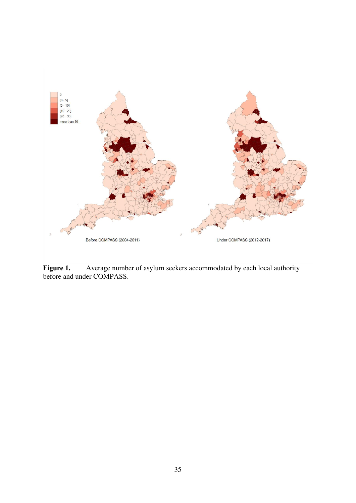

**Figure 1.** Average number of asylum seekers accommodated by each local authority before and under COMPASS.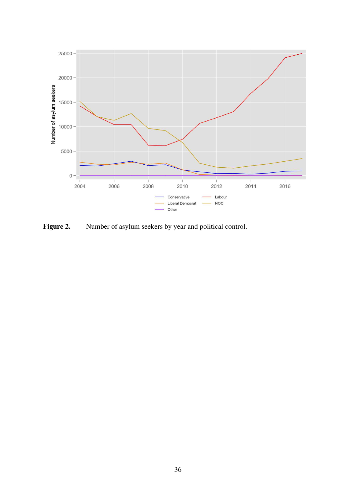

**Figure 2.** Number of asylum seekers by year and political control.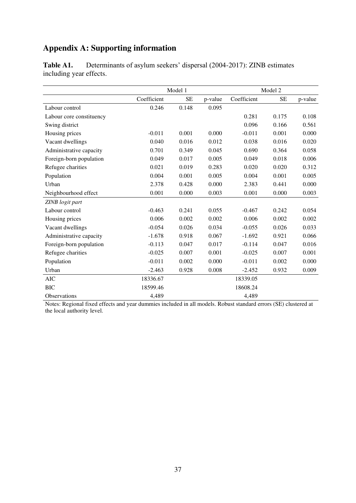## **Appendix A: Supporting information**

|                          | Model 1<br>Model 2 |           |         |             |           |         |
|--------------------------|--------------------|-----------|---------|-------------|-----------|---------|
|                          | Coefficient        | <b>SE</b> | p-value | Coefficient | <b>SE</b> | p-value |
| Labour control           | 0.246              | 0.148     | 0.095   |             |           |         |
| Labour core constituency |                    |           |         | 0.281       | 0.175     | 0.108   |
| Swing district           |                    |           |         | 0.096       | 0.166     | 0.561   |
| Housing prices           | $-0.011$           | 0.001     | 0.000   | $-0.011$    | 0.001     | 0.000   |
| Vacant dwellings         | 0.040              | 0.016     | 0.012   | 0.038       | 0.016     | 0.020   |
| Administrative capacity  | 0.701              | 0.349     | 0.045   | 0.690       | 0.364     | 0.058   |
| Foreign-born population  | 0.049              | 0.017     | 0.005   | 0.049       | 0.018     | 0.006   |
| Refugee charities        | 0.021              | 0.019     | 0.283   | 0.020       | 0.020     | 0.312   |
| Population               | 0.004              | 0.001     | 0.005   | 0.004       | 0.001     | 0.005   |
| Urban                    | 2.378              | 0.428     | 0.000   | 2.383       | 0.441     | 0.000   |
| Neighbourhood effect     | 0.001              | 0.000     | 0.003   | 0.001       | 0.000     | 0.003   |
| ZINB logit part          |                    |           |         |             |           |         |
| Labour control           | $-0.463$           | 0.241     | 0.055   | $-0.467$    | 0.242     | 0.054   |
| Housing prices           | 0.006              | 0.002     | 0.002   | 0.006       | 0.002     | 0.002   |
| Vacant dwellings         | $-0.054$           | 0.026     | 0.034   | $-0.055$    | 0.026     | 0.033   |
| Administrative capacity  | $-1.678$           | 0.918     | 0.067   | $-1.692$    | 0.921     | 0.066   |
| Foreign-born population  | $-0.113$           | 0.047     | 0.017   | $-0.114$    | 0.047     | 0.016   |
| Refugee charities        | $-0.025$           | 0.007     | 0.001   | $-0.025$    | 0.007     | 0.001   |
| Population               | $-0.011$           | 0.002     | 0.000   | $-0.011$    | 0.002     | 0.000   |
| Urban                    | $-2.463$           | 0.928     | 0.008   | $-2.452$    | 0.932     | 0.009   |
| <b>AIC</b>               | 18336.67           |           |         | 18339.05    |           |         |
| <b>BIC</b>               | 18599.46           |           |         | 18608.24    |           |         |
| Observations             | 4,489              |           |         | 4,489       |           |         |

Table A1. Determinants of asylum seekers' dispersal (2004-2017): ZINB estimates including year effects.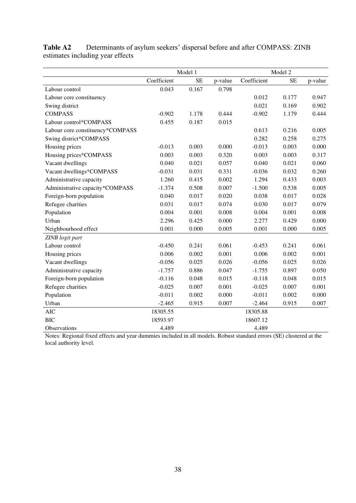|                                  | Model 1<br>Model 2 |           |         |             |           |         |
|----------------------------------|--------------------|-----------|---------|-------------|-----------|---------|
|                                  | Coefficient        | <b>SE</b> | p-value | Coefficient | <b>SE</b> | p-value |
| Labour control                   | 0.043              | 0.167     | 0.798   |             |           |         |
| Labour core constituency         |                    |           |         | 0.012       | 0.177     | 0.947   |
| Swing district                   |                    |           |         | 0.021       | 0.169     | 0.902   |
| <b>COMPASS</b>                   | $-0.902$           | 1.178     | 0.444   | $-0.902$    | 1.179     | 0.444   |
| Labour control*COMPASS           | 0.455              | 0.187     | 0.015   |             |           |         |
| Labour core constituency*COMPASS |                    |           |         | 0.613       | 0.216     | 0.005   |
| Swing district*COMPASS           |                    |           |         | 0.282       | 0.258     | 0.275   |
| Housing prices                   | $-0.013$           | 0.003     | 0.000   | $-0.013$    | 0.003     | 0.000   |
| Housing prices*COMPASS           | 0.003              | 0.003     | 0.320   | 0.003       | 0.003     | 0.317   |
| Vacant dwellings                 | 0.040              | 0.021     | 0.057   | 0.040       | 0.021     | 0.060   |
| Vacant dwellings*COMPASS         | $-0.031$           | 0.031     | 0.331   | $-0.036$    | 0.032     | 0.260   |
| Administrative capacity          | 1.260              | 0.415     | 0.002   | 1.294       | 0.433     | 0.003   |
| Administrative capacity*COMPASS  | $-1.374$           | 0.508     | 0.007   | $-1.500$    | 0.538     | 0.005   |
| Foreign-born population          | 0.040              | 0.017     | 0.020   | 0.038       | 0.017     | 0.028   |
| Refugee charities                | 0.031              | 0.017     | 0.074   | 0.030       | 0.017     | 0.079   |
| Population                       | 0.004              | 0.001     | 0.008   | 0.004       | 0.001     | 0.008   |
| Urban                            | 2.296              | 0.425     | 0.000   | 2.277       | 0.429     | 0.000   |
| Neighbourhood effect             | 0.001              | 0.000     | 0.005   | 0.001       | 0.000     | 0.005   |
| ZINB logit part                  |                    |           |         |             |           |         |
| Labour control                   | $-0.450$           | 0.241     | 0.061   | $-0.453$    | 0.241     | 0.061   |
| Housing prices                   | 0.006              | 0.002     | 0.001   | 0.006       | 0.002     | 0.001   |
| Vacant dwellings                 | $-0.056$           | 0.025     | 0.026   | $-0.056$    | 0.025     | 0.026   |
| Administrative capacity          | $-1.757$           | 0.886     | 0.047   | $-1.755$    | 0.897     | 0.050   |
| Foreign-born population          | $-0.116$           | 0.048     | 0.015   | $-0.118$    | 0.048     | 0.015   |
| Refugee charities                | $-0.025$           | 0.007     | 0.001   | $-0.025$    | 0.007     | 0.001   |
| Population                       | $-0.011$           | 0.002     | 0.000   | $-0.011$    | 0.002     | 0.000   |
| Urban                            | $-2.465$           | 0.915     | 0.007   | $-2.464$    | 0.915     | 0.007   |
| <b>AIC</b>                       | 18305.55           |           |         | 18305.88    |           |         |
| <b>BIC</b>                       | 18593.97           |           |         | 18607.12    |           |         |
| Observations                     | 4,489              |           |         | 4,489       |           |         |

**Table A2** Determinants of asylum seekers' dispersal before and after COMPASS: ZINB estimates including year effects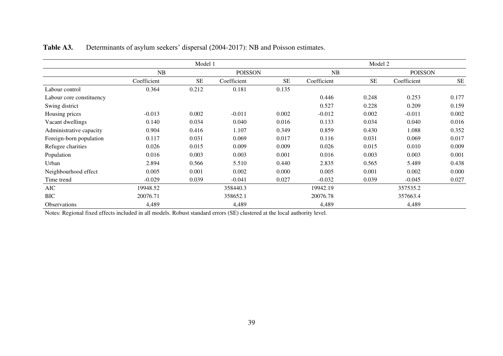|                          | Model 1     |           |             |                |             | Model 2   |                |           |
|--------------------------|-------------|-----------|-------------|----------------|-------------|-----------|----------------|-----------|
|                          | <b>NB</b>   |           |             | <b>POISSON</b> |             |           | <b>POISSON</b> |           |
|                          | Coefficient | <b>SE</b> | Coefficient | <b>SE</b>      | Coefficient | <b>SE</b> | Coefficient    | <b>SE</b> |
| Labour control           | 0.364       | 0.212     | 0.181       | 0.135          |             |           |                |           |
| Labour core constituency |             |           |             |                | 0.446       | 0.248     | 0.253          | 0.177     |
| Swing district           |             |           |             |                | 0.527       | 0.228     | 0.209          | 0.159     |
| Housing prices           | $-0.013$    | 0.002     | $-0.011$    | 0.002          | $-0.012$    | 0.002     | $-0.011$       | 0.002     |
| Vacant dwellings         | 0.140       | 0.034     | 0.040       | 0.016          | 0.133       | 0.034     | 0.040          | 0.016     |
| Administrative capacity  | 0.904       | 0.416     | 1.107       | 0.349          | 0.859       | 0.430     | 1.088          | 0.352     |
| Foreign-born population  | 0.117       | 0.031     | 0.069       | 0.017          | 0.116       | 0.031     | 0.069          | 0.017     |
| Refugee charities        | 0.026       | 0.015     | 0.009       | 0.009          | 0.026       | 0.015     | 0.010          | 0.009     |
| Population               | 0.016       | 0.003     | 0.003       | 0.001          | 0.016       | 0.003     | 0.003          | 0.001     |
| Urban                    | 2.894       | 0.566     | 5.510       | 0.440          | 2.835       | 0.565     | 5.489          | 0.438     |
| Neighbourhood effect     | 0.005       | 0.001     | 0.002       | 0.000          | 0.005       | 0.001     | 0.002          | 0.000     |
| Time trend               | $-0.029$    | 0.039     | $-0.041$    | 0.027          | $-0.032$    | 0.039     | $-0.045$       | 0.027     |
| AIC                      | 19948.52    |           | 358440.3    |                | 19942.19    |           | 357535.2       |           |
| <b>BIC</b>               | 20076.71    |           | 358652.1    |                | 20076.78    |           | 357663.4       |           |
| <b>Observations</b>      | 4,489       |           | 4,489       |                | 4,489       |           | 4,489          |           |

## **Table A3.** Determinants of asylum seekers' dispersal (2004-2017): NB and Poisson estimates.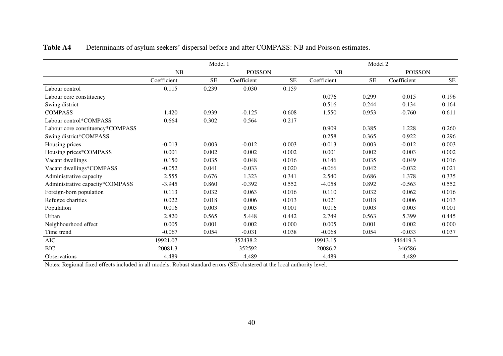|                                  | Model 1     |           |                |           | Model 2     |           |             |                |
|----------------------------------|-------------|-----------|----------------|-----------|-------------|-----------|-------------|----------------|
|                                  | NB          |           | <b>POISSON</b> |           | NB          |           |             | <b>POISSON</b> |
|                                  | Coefficient | <b>SE</b> | Coefficient    | <b>SE</b> | Coefficient | <b>SE</b> | Coefficient | <b>SE</b>      |
| Labour control                   | 0.115       | 0.239     | 0.030          | 0.159     |             |           |             |                |
| Labour core constituency         |             |           |                |           | 0.076       | 0.299     | 0.015       | 0.196          |
| Swing district                   |             |           |                |           | 0.516       | 0.244     | 0.134       | 0.164          |
| <b>COMPASS</b>                   | 1.420       | 0.939     | $-0.125$       | 0.608     | 1.550       | 0.953     | $-0.760$    | 0.611          |
| Labour control*COMPASS           | 0.664       | 0.302     | 0.564          | 0.217     |             |           |             |                |
| Labour core constituency*COMPASS |             |           |                |           | 0.909       | 0.385     | 1.228       | 0.260          |
| Swing district*COMPASS           |             |           |                |           | 0.258       | 0.365     | 0.922       | 0.296          |
| Housing prices                   | $-0.013$    | 0.003     | $-0.012$       | 0.003     | $-0.013$    | 0.003     | $-0.012$    | 0.003          |
| Housing prices*COMPASS           | 0.001       | 0.002     | 0.002          | 0.002     | 0.001       | 0.002     | 0.003       | 0.002          |
| Vacant dwellings                 | 0.150       | 0.035     | 0.048          | 0.016     | 0.146       | 0.035     | 0.049       | 0.016          |
| Vacant dwellings*COMPASS         | $-0.052$    | 0.041     | $-0.033$       | 0.020     | $-0.066$    | 0.042     | $-0.032$    | 0.021          |
| Administrative capacity          | 2.555       | 0.676     | 1.323          | 0.341     | 2.540       | 0.686     | 1.378       | 0.335          |
| Administrative capacity*COMPASS  | $-3.945$    | 0.860     | $-0.392$       | 0.552     | $-4.058$    | 0.892     | $-0.563$    | 0.552          |
| Foreign-born population          | 0.113       | 0.032     | 0.063          | 0.016     | 0.110       | 0.032     | 0.062       | 0.016          |
| Refugee charities                | 0.022       | 0.018     | 0.006          | 0.013     | 0.021       | 0.018     | 0.006       | 0.013          |
| Population                       | 0.016       | 0.003     | 0.003          | 0.001     | 0.016       | 0.003     | 0.003       | 0.001          |
| Urban                            | 2.820       | 0.565     | 5.448          | 0.442     | 2.749       | 0.563     | 5.399       | 0.445          |
| Neighbourhood effect             | 0.005       | 0.001     | 0.002          | 0.000     | 0.005       | 0.001     | 0.002       | 0.000          |
| Time trend                       | $-0.067$    | 0.054     | $-0.031$       | 0.038     | $-0.068$    | 0.054     | $-0.033$    | 0.037          |
| AIC                              | 19921.07    |           | 352438.2       |           | 19913.15    |           | 346419.3    |                |
| <b>BIC</b>                       | 20081.3     |           | 352592         |           | 20086.2     |           | 346586      |                |
| <b>Observations</b>              | 4,489       |           | 4,489          |           | 4,489       |           | 4,489       |                |

## **Table A4** Determinants of asylum seekers' dispersal before and after COMPASS: NB and Poisson estimates.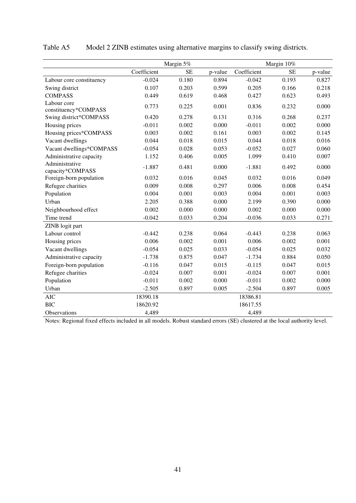|                                     |             | Margin 5%<br>Margin 10% |         |             |           |         |
|-------------------------------------|-------------|-------------------------|---------|-------------|-----------|---------|
|                                     | Coefficient | <b>SE</b>               | p-value | Coefficient | <b>SE</b> | p-value |
| Labour core constituency            | $-0.024$    | 0.180                   | 0.894   | $-0.042$    | 0.193     | 0.827   |
| Swing district                      | 0.107       | 0.203                   | 0.599   | 0.205       | 0.166     | 0.218   |
| <b>COMPASS</b>                      | 0.449       | 0.619                   | 0.468   | 0.427       | 0.623     | 0.493   |
| Labour core<br>constituency*COMPASS | 0.773       | 0.225                   | 0.001   | 0.836       | 0.232     | 0.000   |
| Swing district*COMPASS              | 0.420       | 0.278                   | 0.131   | 0.316       | 0.268     | 0.237   |
| Housing prices                      | $-0.011$    | 0.002                   | 0.000   | $-0.011$    | 0.002     | 0.000   |
| Housing prices*COMPASS              | 0.003       | 0.002                   | 0.161   | 0.003       | 0.002     | 0.145   |
| Vacant dwellings                    | 0.044       | 0.018                   | 0.015   | 0.044       | 0.018     | 0.016   |
| Vacant dwellings*COMPASS            | $-0.054$    | 0.028                   | 0.053   | $-0.052$    | 0.027     | 0.060   |
| Administrative capacity             | 1.152       | 0.406                   | 0.005   | 1.099       | 0.410     | 0.007   |
| Administrative<br>capacity*COMPASS  | $-1.887$    | 0.481                   | 0.000   | $-1.881$    | 0.492     | 0.000   |
| Foreign-born population             | 0.032       | 0.016                   | 0.045   | 0.032       | 0.016     | 0.049   |
| Refugee charities                   | 0.009       | 0.008                   | 0.297   | 0.006       | 0.008     | 0.454   |
| Population                          | 0.004       | 0.001                   | 0.003   | 0.004       | 0.001     | 0.003   |
| Urban                               | 2.205       | 0.388                   | 0.000   | 2.199       | 0.390     | 0.000   |
| Neighbourhood effect                | 0.002       | 0.000                   | 0.000   | 0.002       | 0.000     | 0.000   |
| Time trend                          | $-0.042$    | 0.033                   | 0.204   | $-0.036$    | 0.033     | 0.271   |
| ZINB logit part                     |             |                         |         |             |           |         |
| Labour control                      | $-0.442$    | 0.238                   | 0.064   | $-0.443$    | 0.238     | 0.063   |
| Housing prices                      | 0.006       | 0.002                   | 0.001   | 0.006       | 0.002     | 0.001   |
| Vacant dwellings                    | $-0.054$    | 0.025                   | 0.033   | $-0.054$    | 0.025     | 0.032   |
| Administrative capacity             | $-1.738$    | 0.875                   | 0.047   | $-1.734$    | 0.884     | 0.050   |
| Foreign-born population             | $-0.116$    | 0.047                   | 0.015   | $-0.115$    | 0.047     | 0.015   |
| Refugee charities                   | $-0.024$    | 0.007                   | 0.001   | $-0.024$    | 0.007     | 0.001   |
| Population                          | $-0.011$    | 0.002                   | 0.000   | $-0.011$    | 0.002     | 0.000   |
| Urban                               | $-2.505$    | 0.897                   | 0.005   | $-2.504$    | 0.897     | 0.005   |
| <b>AIC</b>                          | 18390.18    |                         |         | 18386.81    |           |         |
| <b>BIC</b>                          | 18620.92    |                         |         | 18617.55    |           |         |
| Observations                        | 4,489       |                         |         | 4,489       |           |         |

## Table A5 Model 2 ZINB estimates using alternative margins to classify swing districts.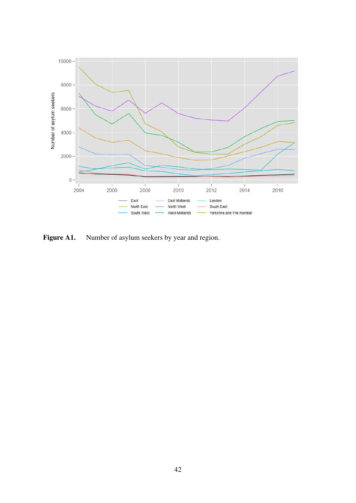

Figure A1. Number of asylum seekers by year and region.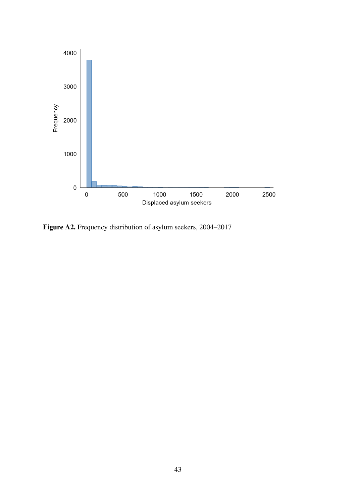

**Figure A2.** Frequency distribution of asylum seekers, 2004–2017